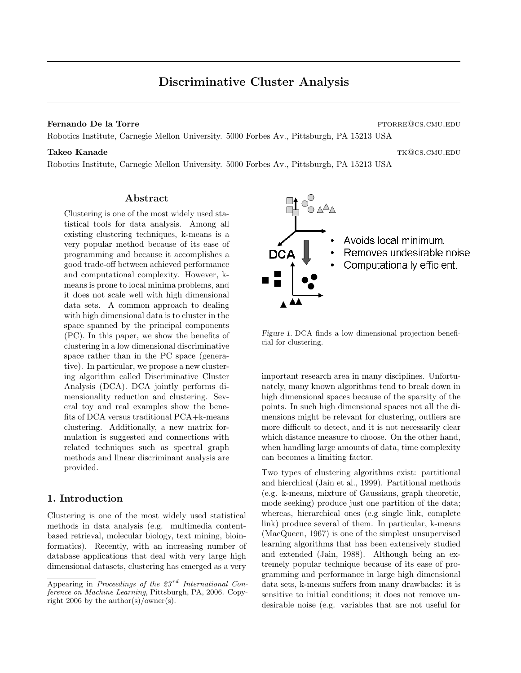## **Fernando De la Torre** ftorre ftorre ftorre ftorre ftorre ftorre ftorre ftorre ftorre ftorre ftorre ftorre ftorre ftorre ftorre ftorre ftorre ftorre ftorre ftorre ftorre ftorre ftorre ftorre ftorre ftorre ftorre ftorre fto

Robotics Institute, Carnegie Mellon University. 5000 Forbes Av., Pittsburgh, PA 15213 USA

# $\bm{\mathrm{Takeo}}$  Kanade tka  $\bm{\mathrm{WQCS.CMU. EDU}}$

Robotics Institute, Carnegie Mellon University. 5000 Forbes Av., Pittsburgh, PA 15213 USA

## Abstract

Clustering is one of the most widely used statistical tools for data analysis. Among all existing clustering techniques, k-means is a very popular method because of its ease of programming and because it accomplishes a good trade-off between achieved performance and computational complexity. However, kmeans is prone to local minima problems, and it does not scale well with high dimensional data sets. A common approach to dealing with high dimensional data is to cluster in the space spanned by the principal components (PC). In this paper, we show the benefits of clustering in a low dimensional discriminative space rather than in the PC space (generative). In particular, we propose a new clustering algorithm called Discriminative Cluster Analysis (DCA). DCA jointly performs dimensionality reduction and clustering. Several toy and real examples show the benefits of DCA versus traditional PCA+k-means clustering. Additionally, a new matrix formulation is suggested and connections with related techniques such as spectral graph methods and linear discriminant analysis are provided.

# 1. Introduction

Clustering is one of the most widely used statistical methods in data analysis (e.g. multimedia contentbased retrieval, molecular biology, text mining, bioinformatics). Recently, with an increasing number of database applications that deal with very large high dimensional datasets, clustering has emerged as a very



Figure 1. DCA finds a low dimensional projection beneficial for clustering.

important research area in many disciplines. Unfortunately, many known algorithms tend to break down in high dimensional spaces because of the sparsity of the points. In such high dimensional spaces not all the dimensions might be relevant for clustering, outliers are more difficult to detect, and it is not necessarily clear which distance measure to choose. On the other hand, when handling large amounts of data, time complexity can becomes a limiting factor.

Two types of clustering algorithms exist: partitional and hierchical (Jain et al., 1999). Partitional methods (e.g. k-means, mixture of Gaussians, graph theoretic, mode seeking) produce just one partition of the data; whereas, hierarchical ones (e.g single link, complete link) produce several of them. In particular, k-means (MacQueen, 1967) is one of the simplest unsupervised learning algorithms that has been extensively studied and extended (Jain, 1988). Although being an extremely popular technique because of its ease of programming and performance in large high dimensional data sets, k-means suffers from many drawbacks: it is sensitive to initial conditions; it does not remove undesirable noise (e.g. variables that are not useful for

Appearing in Proceedings of the  $23^{rd}$  International Conference on Machine Learning, Pittsburgh, PA, 2006. Copyright 2006 by the author(s)/owner(s).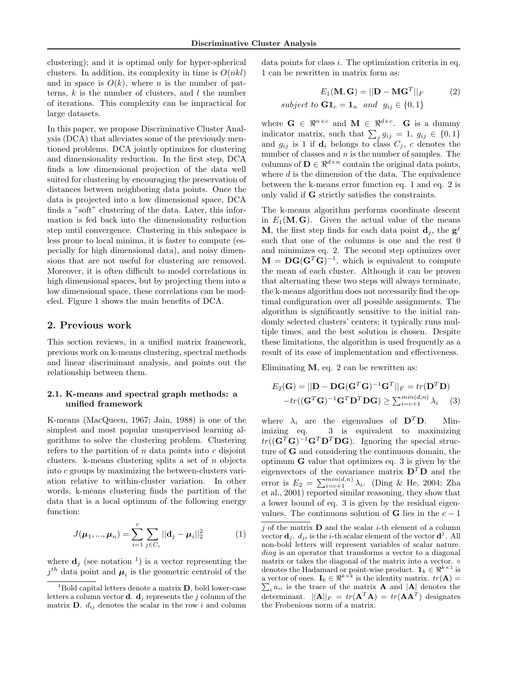clustering); and it is optimal only for hyper-spherical clusters. In addition, its complexity in time is  $O(nkl)$ and in space is  $O(k)$ , where *n* is the number of patterns,  $k$  is the number of clusters, and  $l$  the number of iterations. This complexity can be impractical for large datasets.

In this paper, we propose Discriminative Cluster Analysis (DCA) that alleviates some of the previously mentioned problems. DCA jointly optimizes for clustering and dimensionality reduction. In the first step, DCA finds a low dimensional projection of the data well suited for clustering by encouraging the preservation of distances between neighboring data points. Once the data is projected into a low dimensional space, DCA finds a "soft" clustering of the data. Later, this information is fed back into the dimensionality reduction step until convergence. Clustering in this subspace is less prone to local minima, it is faster to compute (especially for high dimensional data), and noisy dimensions that are not useful for clustering are removed. Moreover, it is often difficult to model correlations in high dimensional spaces, but by projecting them into a low dimensional space, these correlations can be modeled. Figure 1 shows the main benefits of DCA.

## 2. Previous work

This section reviews, in a unified matrix framework, previous work on k-means clustering, spectral methods and linear discriminant analysis, and points out the relationship between them.

## 2.1. K-means and spectral graph methods: a unified framework

K-means (MacQueen, 1967; Jain, 1988) is one of the simplest and most popular unsupervised learning algorithms to solve the clustering problem. Clustering refers to the partition of  $n$  data points into  $c$  disjoint clusters. k-means clustering splits a set of  $n$  objects into c groups by maximizing the between-clusters variation relative to within-cluster variation. In other words, k-means clustering finds the partition of the data that is a local optimum of the following energy function:

$$
J(\mu_1, ..., \mu_n) = \sum_{i=1}^{c} \sum_{j \in C_i} ||\mathbf{d}_j - \mu_i||_2^2
$$
 (1)

where  $\mathbf{d}_j$  (see notation <sup>1</sup>) is a vector representing the  $j^{th}$  data point and  $\mu_i$  is the geometric centroid of the data points for class *i*. The optimization criteria in eq. 1 can be rewritten in matrix form as:

$$
E_1(\mathbf{M}, \mathbf{G}) = ||\mathbf{D} - \mathbf{M}\mathbf{G}^T||_F
$$
 (2)  
subject to  $\mathbf{G} \mathbf{1}_c = \mathbf{1}_n$  and  $g_{ij} \in \{0, 1\}$ 

where  $\mathbf{G} \in \mathbb{R}^{n \times c}$  and  $\mathbf{M} \in \mathbb{R}^{d \times c}$ . **G** is a dummy indicator matrix, such that  $\sum_j g_{ij} = 1$ ,  $g_{ij} \in \{0, 1\}$ and  $g_{ij}$  is 1 if  $\mathbf{d}_i$  belongs to class  $C_j$ , c denotes the number of classes and  $n$  is the number of samples. The columns of  $\mathbf{D} \in \mathbb{R}^{d \times n}$  contain the original data points, where  $d$  is the dimension of the data. The equivalence between the k-means error function eq. 1 and eq. 2 is only valid if G strictly satisfies the constraints.

The k-means algorithm performs coordinate descent in  $E_1(\mathbf{M}, \mathbf{G})$ . Given the actual value of the means **M**, the first step finds for each data point  $\mathbf{d}_j$ , the  $\mathbf{g}^j$ such that one of the columns is one and the rest 0 and minimizes eq. 2. The second step optimizes over  $\mathbf{M} = \mathbf{D} \mathbf{G} (\mathbf{G}^T \mathbf{G})^{-1}$ , which is equivalent to compute the mean of each cluster. Although it can be proven that alternating these two steps will always terminate, the k-means algorithm does not necessarily find the optimal configuration over all possible assignments. The algorithm is significantly sensitive to the initial randomly selected clusters' centers; it typically runs multiple times, and the best solution is chosen. Despite these limitations, the algorithm is used frequently as a result of its ease of implementation and effectiveness.

Eliminating  $M$ , eq. 2 can be rewritten as:

$$
E_2(\mathbf{G}) = ||\mathbf{D} - \mathbf{D}\mathbf{G}(\mathbf{G}^T\mathbf{G})^{-1}\mathbf{G}^T||_F = tr(\mathbf{D}^T\mathbf{D})
$$
  
-tr((\mathbf{G}^T\mathbf{G})^{-1}\mathbf{G}^T\mathbf{D}^T\mathbf{D}\mathbf{G}) \ge \sum\_{i=c+1}^{min(d,n)} \lambda\_i \quad (3)

where  $\lambda_i$  are the eigenvalues of  $\mathbf{D}^T \mathbf{D}$ . Minimizing eq. 3 is equivalent to maximizing  $tr((\mathbf{G}^T\mathbf{G})^{-1}\mathbf{G}^T\mathbf{D}^T\mathbf{D}\mathbf{G})$ . Ignoring the special structure of G and considering the continuous domain, the optimum G value that optimizes eq. 3 is given by the eigenvectors of the covariance matrix  $\mathbf{D}^T \mathbf{D}$  and the error is  $E_2 = \sum_{i=c+1}^{\min(d,n)} \lambda_i$ . (Ding & He, 2004; Zha et al., 2001) reported similar reasoning, they show that a lower bound of eq. 3 is given by the residual eigenvalues. The continuous solution of **G** lies in the  $c - 1$ 

 $1<sup>1</sup>$ Bold capital letters denote a matrix **D**, bold lower-case letters a column vector **d**.  $\mathbf{d}_i$  represents the j column of the matrix **D**.  $d_{ij}$  denotes the scalar in the row i and column

 $j$  of the matrix **D** and the scalar *i*-th element of a column vector  $\mathbf{d}_j$ .  $d_{ji}$  is the *i*-th scalar element of the vector  $\mathbf{d}^j$ . All non-bold letters will represent variables of scalar nature. diag is an operator that transforms a vector to a diagonal matrix or takes the diagonal of the matrix into a vector.  $\circ$ denotes the Hadamard or point-wise product.  $\mathbf{1}_k \in \mathbb{R}^{k \times 1}$  is a vector of ones.  $I_k \in \Re^{k \times k}$  is the identity matrix.  $tr(\mathbf{A}) =$  $\sum_i a_{ii}$  is the trace of the matrix **A** and  $|\mathbf{A}|$  denotes the determinant.  $||\mathbf{A}||_F = tr(\mathbf{A}^T \mathbf{A}) = tr(\mathbf{A} \mathbf{A}^T)$  designates the Frobenious norm of a matrix.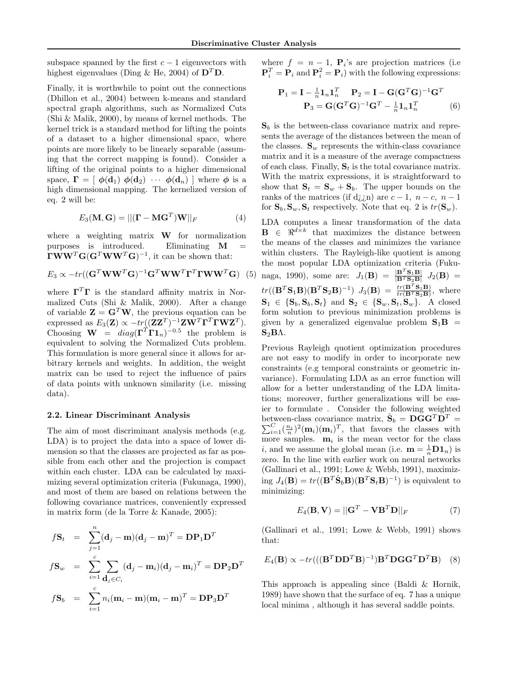subspace spanned by the first  $c - 1$  eigenvectors with highest eigenvalues (Ding & He, 2004) of  $\mathbf{D}^T \mathbf{D}$ .

Finally, it is worthwhile to point out the connections (Dhillon et al., 2004) between k-means and standard spectral graph algorithms, such as Normalized Cuts (Shi & Malik, 2000), by means of kernel methods. The kernel trick is a standard method for lifting the points of a dataset to a higher dimensional space, where points are more likely to be linearly separable (assuming that the correct mapping is found). Consider a lifting of the original points to a higher dimensional space,  $\mathbf{\Gamma} = [\phi(\mathbf{d}_1) \phi(\mathbf{d}_2) \cdots \phi(\mathbf{d}_n)]$  where  $\phi$  is a high dimensional mapping. The kernelized version of eq. 2 will be:

$$
E_3(\mathbf{M}, \mathbf{G}) = ||(\mathbf{\Gamma} - \mathbf{M}\mathbf{G}^T)\mathbf{W}||_F
$$
 (4)

where a weighting matrix **W** for normalization purposes is introduced. Eliminating M =  $\mathbf{TWW}^T\mathbf{G}(\mathbf{G}^T\mathbf{WW}^T\mathbf{G})^{-1}$ , it can be shown that:

$$
E_3 \propto -tr((\mathbf{G}^T \mathbf{W} \mathbf{W}^T \mathbf{G})^{-1} \mathbf{G}^T \mathbf{W} \mathbf{W}^T \mathbf{\Gamma}^T \mathbf{\Gamma} \mathbf{W} \mathbf{W}^T \mathbf{G})
$$
 (5)

where  $\mathbf{\Gamma}^T\mathbf{\Gamma}$  is the standard affinity matrix in Normalized Cuts (Shi & Malik, 2000). After a change of variable  $\mathbf{Z} = \mathbf{G}^T \mathbf{W}$ , the previous equation can be expressed as  $E_3(\mathbf{Z}) \propto -tr((\mathbf{Z}\mathbf{Z}^T)^{-1}\mathbf{Z}\mathbf{W}^T\mathbf{\Gamma}^T\mathbf{\Gamma}\mathbf{W}\mathbf{Z}^T).$ Choosing  $\mathbf{W} = diag(\mathbf{\Gamma}^T \mathbf{\Gamma} \mathbf{1}_n)^{-0.5}$  the problem is equivalent to solving the Normalized Cuts problem. This formulation is more general since it allows for arbitrary kernels and weights. In addition, the weight matrix can be used to reject the influence of pairs of data points with unknown similarity (i.e. missing data).

## 2.2. Linear Discriminant Analysis

The aim of most discriminant analysis methods (e.g. LDA) is to project the data into a space of lower dimension so that the classes are projected as far as possible from each other and the projection is compact within each cluster. LDA can be calculated by maximizing several optimization criteria (Fukunaga, 1990), and most of them are based on relations between the following covariance matrices, conveniently expressed in matrix form (de la Torre & Kanade, 2005):

$$
f\mathbf{S}_t = \sum_{j=1}^n (\mathbf{d}_j - \mathbf{m})(\mathbf{d}_j - \mathbf{m})^T = \mathbf{D}\mathbf{P}_1 \mathbf{D}^T
$$
  

$$
f\mathbf{S}_w = \sum_{i=1}^c \sum_{\mathbf{d}_j \in C_i} (\mathbf{d}_j - \mathbf{m}_i)(\mathbf{d}_j - \mathbf{m}_i)^T = \mathbf{D}\mathbf{P}_2 \mathbf{D}^T
$$
  

$$
f\mathbf{S}_b = \sum_{i=1}^c n_i (\mathbf{m}_i - \mathbf{m})(\mathbf{m}_i - \mathbf{m})^T = \mathbf{D}\mathbf{P}_3 \mathbf{D}^T
$$

where  $f = n - 1$ ,  $\mathbf{P}_i$ 's are projection matrices (i.e.  $\mathbf{P}_i^T = \mathbf{P}_i$  and  $\mathbf{P}_i^2 = \mathbf{P}_i$ ) with the following expressions:

$$
\mathbf{P}_1 = \mathbf{I} - \frac{1}{n} \mathbf{1}_n \mathbf{1}_n^T \quad \mathbf{P}_2 = \mathbf{I} - \mathbf{G} (\mathbf{G}^T \mathbf{G})^{-1} \mathbf{G}^T
$$

$$
\mathbf{P}_3 = \mathbf{G} (\mathbf{G}^T \mathbf{G})^{-1} \mathbf{G}^T - \frac{1}{n} \mathbf{1}_n \mathbf{1}_n^T \tag{6}
$$

 $\mathbf{S}_b$  is the between-class covariance matrix and represents the average of the distances between the mean of the classes.  $\mathbf{S}_w$  represents the within-class covariance matrix and it is a measure of the average compactness of each class. Finally,  $S_t$  is the total covariance matrix. With the matrix expressions, it is straightforward to show that  $S_t = S_w + S_b$ . The upper bounds on the ranks of the matrices (if d<sub>i</sub>,in) are  $c-1$ ,  $n-c$ ,  $n-1$ for  $\mathbf{S}_b$ ,  $\mathbf{S}_w$ ,  $\mathbf{S}_t$  respectively. Note that eq. 2 is  $tr(\mathbf{S}_w)$ .

LDA computes a linear transformation of the data  $\mathbf{B} \in \mathbb{R}^{d \times k}$  that maximizes the distance between the means of the classes and minimizes the variance within clusters. The Rayleigh-like quotient is among the most popular LDA optimization criteria (Fukunaga, 1990), some are:  $J_1(\mathbf{B}) = \frac{|\mathbf{B}^T \mathbf{S}_1 \mathbf{B}|}{|\mathbf{B}^T \mathbf{S}_2 \mathbf{B}|} J_2(\mathbf{B}) =$  $tr((\mathbf{B}^T \mathbf{S}_1 \mathbf{B})(\mathbf{B}^T \mathbf{S}_2 \mathbf{B})^{-1}) J_3(\mathbf{B}) = \frac{tr(\mathbf{B}^T \mathbf{S}_1 \mathbf{B})}{tr(\mathbf{B}^T \mathbf{S}_2 \mathbf{B})}$ , where  $\mathbf{S}_1 \in \{\mathbf{S}_b, \mathbf{S}_b, \mathbf{S}_t\}$  and  $\mathbf{S}_2 \in \{\mathbf{S}_w, \mathbf{S}_t, \mathbf{S}_w\}$ . A closed form solution to previous minimization problems is given by a generalized eigenvalue problem  $S_1B =$  $S_2B\Lambda$ .

Previous Rayleigh quotient optimization procedures are not easy to modify in order to incorporate new constraints (e.g temporal constraints or geometric invariance). Formulating LDA as an error function will allow for a better understanding of the LDA limitations; moreover, further generalizations will be easier to formulate . Consider the following weighted between-class covariance matrix,  $\hat{\mathbf{S}}_b = \mathbf{D} \tilde{\mathbf{G}} \mathbf{G}^T \tilde{\mathbf{D}}^T =$  $\sum_{i=1}^C \frac{n_i}{n}^2(\mathbf{m}_i)(\mathbf{m}_i)^T$ , that favors the classes with more samples.  $\mathbf{m}_i$  is the mean vector for the class *i*, and we assume the global mean (i.e.  $\mathbf{m} = \frac{1}{n} \mathbf{D} \mathbf{1}_n$ ) is zero. In the line with earlier work on neural networks (Gallinari et al., 1991; Lowe & Webb, 1991), maximizing  $J_4(\mathbf{B}) = tr((\mathbf{B}^T \hat{\mathbf{S}}_b \mathbf{B})(\mathbf{B}^T \mathbf{S}_t \mathbf{B})^{-1})$  is equivalent to minimizing:

$$
E_4(\mathbf{B}, \mathbf{V}) = ||\mathbf{G}^T - \mathbf{V} \mathbf{B}^T \mathbf{D}||_F
$$
 (7)

(Gallinari et al., 1991; Lowe & Webb, 1991) shows that:

$$
E_4(\mathbf{B}) \propto -tr(((\mathbf{B}^T \mathbf{D} \mathbf{D}^T \mathbf{B})^{-1}) \mathbf{B}^T \mathbf{D} \mathbf{G} \mathbf{G}^T \mathbf{D}^T \mathbf{B}) \quad (8)
$$

This approach is appealing since (Baldi & Hornik, 1989) have shown that the surface of eq. 7 has a unique local minima , although it has several saddle points.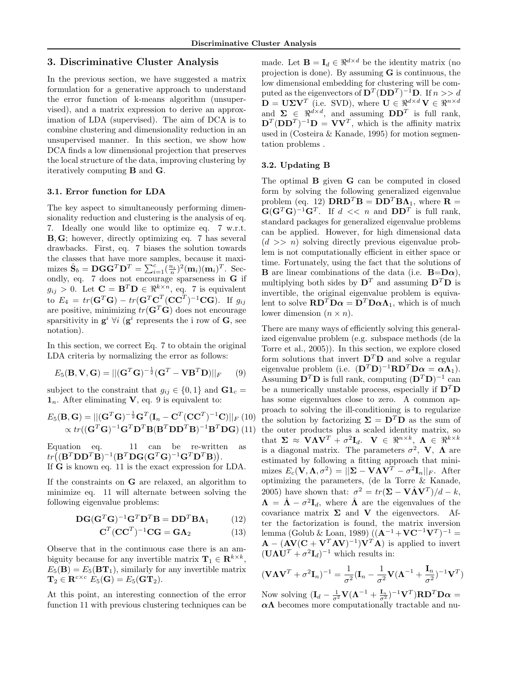# 3. Discriminative Cluster Analysis

In the previous section, we have suggested a matrix formulation for a generative approach to understand the error function of k-means algorithm (unsupervised), and a matrix expression to derive an approximation of LDA (supervised). The aim of DCA is to combine clustering and dimensionality reduction in an unsupervised manner. In this section, we show how DCA finds a low dimensional projection that preserves the local structure of the data, improving clustering by iteratively computing B and G.

#### 3.1. Error function for LDA

The key aspect to simultaneously performing dimensionality reduction and clustering is the analysis of eq. 7. Ideally one would like to optimize eq. 7 w.r.t. B, G; however, directly optimizing eq. 7 has several drawbacks. First, eq. 7 biases the solution towards the classes that have more samples, because it maximizes  $\hat{\mathbf{S}}_b = \mathbf{DGG}^T \mathbf{D}^T = \sum_{i=1}^c (\frac{n_i}{n})^2 (\mathbf{m}_i)(\mathbf{m}_i)^T$ . Secondly, eq. 7 does not encourage sparseness in G if  $g_{ij} > 0$ . Let  $\mathbf{C} = \mathbf{B}^T \mathbf{D} \in \mathbb{R}^{k \times n}$ , eq. 7 is equivalent to  $E_4 = tr(\mathbf{G}^T \mathbf{G}) - tr(\mathbf{G}^T \mathbf{C}^T (\mathbf{C} \mathbf{C}^T)^{-1} \mathbf{C} \mathbf{G})$ . If  $g_{ij}$ are positive, minimizing  $tr(\mathbf{G}^T\mathbf{G})$  does not encourage sparsitivity in  $\mathbf{g}^i$   $\forall i$  ( $\mathbf{g}^i$  represents the i row of  $\mathbf{G}$ , see notation).

In this section, we correct Eq. 7 to obtain the original LDA criteria by normalizing the error as follows:

$$
E_5(\mathbf{B}, \mathbf{V}, \mathbf{G}) = ||(\mathbf{G}^T \mathbf{G})^{-\frac{1}{2}} (\mathbf{G}^T - \mathbf{V} \mathbf{B}^T \mathbf{D})||_F \qquad (9)
$$

subject to the constraint that  $g_{ij} \in \{0,1\}$  and  $\mathbf{G} \mathbf{1}_c =$  $\mathbf{1}_n$ . After eliminating **V**, eq. 9 is equivalent to:

$$
E_5(\mathbf{B}, \mathbf{G}) = ||(\mathbf{G}^T \mathbf{G})^{-\frac{1}{2}} \mathbf{G}^T (\mathbf{I}_n - \mathbf{C}^T (\mathbf{C} \mathbf{C}^T)^{-1} \mathbf{C})||_F (10)
$$
  
 
$$
\propto tr((\mathbf{G}^T \mathbf{G})^{-1} \mathbf{G}^T \mathbf{D}^T \mathbf{B} (\mathbf{B}^T \mathbf{D} \mathbf{D}^T \mathbf{B})^{-1} \mathbf{B}^T \mathbf{D} \mathbf{G}) (11)
$$

Equation eq. 11 can be re-written as  $tr((\mathbf{B}^T\mathbf{D}\mathbf{D}^T\mathbf{B})^{-1}(\mathbf{B}^T\mathbf{D}\mathbf{G}(\mathbf{G}^T\mathbf{G})^{-1}\mathbf{G}^T\mathbf{D}^T\mathbf{B})).$ If G is known eq. 11 is the exact expression for LDA.

If the constraints on G are relaxed, an algorithm to minimize eq. 11 will alternate between solving the following eigenvalue problems:

$$
\mathbf{D}\mathbf{G}(\mathbf{G}^T\mathbf{G})^{-1}\mathbf{G}^T\mathbf{D}^T\mathbf{B} = \mathbf{D}\mathbf{D}^T\mathbf{B}\mathbf{\Lambda}_1 \tag{12}
$$

$$
\mathbf{C}^T(\mathbf{C}\mathbf{C}^T)^{-1}\mathbf{C}\mathbf{G} = \mathbf{G}\Lambda_2 \tag{13}
$$

Observe that in the continuous case there is an ambiguity because for any invertible matrix  $\mathbf{T}_1 \in \mathbb{R}^{k \times k}$ ,  $E_5(\mathbf{B}) = E_5(\mathbf{B} \mathbf{T}_1)$ , similarly for any invertible matrix  $\mathbf{T}_2 \in \mathbf{R}^{c \times c}$   $E_5(\mathbf{G}) = E_5(\mathbf{GT}_2).$ 

At this point, an interesting connection of the error function 11 with previous clustering techniques can be made. Let **B** =  $I_d \in \Re^{d \times d}$  be the identity matrix (no projection is done). By assuming G is continuous, the low dimensional embedding for clustering will be computed as the eigenvectors of  $\mathbf{D}^T(\mathbf{D}\mathbf{D}^T)^{-1}\mathbf{D}$ . If  $n >> d$  $\mathbf{D} = \mathbf{U} \mathbf{\Sigma} \mathbf{V}^T$  (i.e. SVD), where  $\mathbf{U} \in \mathbb{R}^{d \times d} \mathbf{V} \in \mathbb{R}^{n \times d}$ and  $\Sigma \in \mathbb{R}^{d \times d}$ , and assuming  $DD^T$  is full rank,  $\mathbf{D}^T(\mathbf{D}\mathbf{D}^T)^{-1}\mathbf{D} = \mathbf{V}\mathbf{V}^T$ , which is the affinity matrix used in (Costeira & Kanade, 1995) for motion segmentation problems .

### 3.2. Updating B

The optimal B given G can be computed in closed form by solving the following generalized eigenvalue problem (eq. 12)  $\mathbf{DRD}^T\mathbf{B} = \mathbf{DD}^T\mathbf{B}\Lambda_1$ , where  $\mathbf{R} =$  $\mathbf{G}(\mathbf{G}^T\mathbf{G})^{-1}\mathbf{G}^T$ . If  $d \ll n$  and  $\mathbf{D}\mathbf{D}^T$  is full rank, standard packages for generalized eigenvalue problems can be applied. However, for high dimensional data  $(d \gg n)$  solving directly previous eigenvalue problem is not computationally efficient in either space or time. Fortunately, using the fact that the solutions of **B** are linear combinations of the data (i.e.  $B=D\alpha$ ), multiplying both sides by  $\mathbf{D}^T$  and assuming  $\mathbf{D}^T \mathbf{D}$  is invertible, the original eigenvalue problem is equivalent to solve  $\mathbf{R}\mathbf{D}^T\mathbf{D}\boldsymbol{\alpha} = \mathbf{D}^T\mathbf{D}\boldsymbol{\alpha}\Lambda_1$ , which is of much lower dimension  $(n \times n)$ .

There are many ways of efficiently solving this generalized eigenvalue problem (e.g. subspace methods (de la Torre et al., 2005)). In this section, we explore closed form solutions that invert  $\mathbf{D}^T \mathbf{D}$  and solve a regular eigenvalue problem (i.e.  $(D^T D)^{-1} R D^T D \alpha = \alpha \Lambda_1$ ). Assuming  $\mathbf{D}^T \mathbf{D}$  is full rank, computing  $(\mathbf{D}^T \mathbf{D})^{-1}$  can be a numerically unstable process, especially if  $D^T D$ has some eigenvalues close to zero. A common approach to solving the ill-conditioning is to regularize the solution by factorizing  $\Sigma = D^T D$  as the sum of the outer products plus a scaled identity matrix, so that  $\Sigma \approx \mathbf{V}\mathbf{\Lambda}\mathbf{V}^T + \sigma^2 \mathbf{I}_d$ .  $\mathbf{V} \in \mathbb{R}^{n \times k}$ ,  $\mathbf{\Lambda} \in \mathbb{R}^{k \times k}$ is a diagonal matrix. The parameters  $\sigma^2$ , **V**,  $\Lambda$  are estimated by following a fitting approach that minimizes  $E_c(\mathbf{V}, \mathbf{\Lambda}, \sigma^2) = ||\mathbf{\Sigma} - \mathbf{V} \mathbf{\Lambda} \mathbf{V}^T - \sigma^2 \mathbf{I}_n||_F$ . After optimizing the parameters, (de la Torre & Kanade, 2005) have shown that:  $\sigma^2 = tr(\mathbf{\Sigma} - \mathbf{V}\hat{\mathbf{\Lambda}}\mathbf{V}^T)/d - k$ ,  $\mathbf{\Lambda} = \hat{\mathbf{\Lambda}} - \sigma^2 \mathbf{I}_d$ , where  $\hat{\mathbf{\Lambda}}$  are the eigenvalues of the covariance matrix  $\Sigma$  and V the eigenvectors. After the factorization is found, the matrix inversion lemma (Golub & Loan, 1989)  $((A^{-1} + VC^{-1}V^T)^{-1} =$  $\mathbf{A} - (\mathbf{A}\mathbf{V}(\mathbf{C} + \mathbf{V}^T\mathbf{A}\mathbf{V})^{-1})\mathbf{V}^T\mathbf{A})$  is applied to invert  $(\mathbf{U}\mathbf{\Lambda}\mathbf{U}^T + \sigma^2 \mathbf{I}_d)^{-1}$  which results in:

$$
(\mathbf{V}\mathbf{\Lambda}\mathbf{V}^T + \sigma^2 \mathbf{I}_n)^{-1} = \frac{1}{\sigma^2}(\mathbf{I}_n - \frac{1}{\sigma^2}\mathbf{V}(\mathbf{\Lambda}^{-1} + \frac{\mathbf{I}_n}{\sigma^2})^{-1}\mathbf{V}^T)
$$

Now solving  $(\mathbf{I}_d - \frac{1}{\sigma^2} \mathbf{V} (\mathbf{\Lambda}^{-1} + \frac{\mathbf{I}_n}{\sigma^2})^{-1} \mathbf{V}^T) \mathbf{R} \mathbf{D}^T \mathbf{D} \boldsymbol{\alpha} =$  $\alpha\Lambda$  becomes more computationally tractable and nu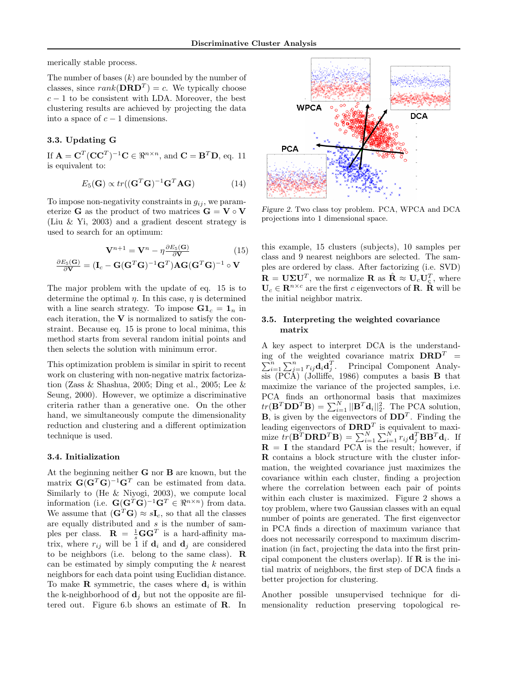merically stable process.

The number of bases  $(k)$  are bounded by the number of classes, since  $rank(\mathbf{DRD}^T) = c$ . We typically choose  $c - 1$  to be consistent with LDA. Moreover, the best clustering results are achieved by projecting the data into a space of  $c - 1$  dimensions.

# 3.3. Updating G

If  $\mathbf{A} = \mathbf{C}^T(\mathbf{C}\mathbf{C}^T)^{-1}\mathbf{C} \in \mathbb{R}^{n \times n}$ , and  $\mathbf{C} = \mathbf{B}^T\mathbf{D}$ , eq. 11 is equivalent to:

$$
E_5(\mathbf{G}) \propto tr((\mathbf{G}^T \mathbf{G})^{-1} \mathbf{G}^T \mathbf{A} \mathbf{G})
$$
 (14)

To impose non-negativity constraints in  $g_{ij}$ , we parameterize **G** as the product of two matrices  $G = V \circ V$ (Liu & Yi, 2003) and a gradient descent strategy is used to search for an optimum:

$$
\mathbf{V}^{n+1} = \mathbf{V}^n - \eta \frac{\partial E_5(\mathbf{G})}{\partial \mathbf{V}} \tag{15}
$$

$$
\frac{\partial E_5(\mathbf{G})}{\partial \mathbf{V}} = (\mathbf{I}_c - \mathbf{G}(\mathbf{G}^T \mathbf{G})^{-1} \mathbf{G}^T) \mathbf{A} \mathbf{G} (\mathbf{G}^T \mathbf{G})^{-1} \circ \mathbf{V}
$$

The major problem with the update of eq. 15 is to determine the optimal  $\eta$ . In this case,  $\eta$  is determined with a line search strategy. To impose  $\mathbf{G} \mathbf{1}_c = \mathbf{1}_n$  in each iteration, the  $V$  is normalized to satisfy the constraint. Because eq. 15 is prone to local minima, this method starts from several random initial points and then selects the solution with minimum error.

This optimization problem is similar in spirit to recent work on clustering with non-negative matrix factorization (Zass & Shashua, 2005; Ding et al., 2005; Lee & Seung, 2000). However, we optimize a discriminative criteria rather than a generative one. On the other hand, we simultaneously compute the dimensionality reduction and clustering and a different optimization technique is used.

## 3.4. Initialization

At the beginning neither G nor B are known, but the matrix  $\mathbf{G}(\mathbf{G}^T\mathbf{G})^{-1}\mathbf{G}^T$  can be estimated from data. Similarly to (He & Niyogi, 2003), we compute local information (i.e.  $\mathbf{G}(\mathbf{G}^T\mathbf{G})^{-1}\mathbf{G}^T \in \mathbb{R}^{n \times n}$ ) from data. We assume that  $(\mathbf{G}^T\mathbf{G}) \approx s\mathbf{I}_c$ , so that all the classes are equally distributed and  $s$  is the number of samples per class.  $\mathbf{R} = \frac{1}{s} \mathbf{G} \mathbf{G}^T$  is a hard-affinity matrix, where  $r_{ij}$  will be 1 if  $\mathbf{d}_i$  and  $\mathbf{d}_j$  are considered to be neighbors (i.e. belong to the same class). R can be estimated by simply computing the  $k$  nearest neighbors for each data point using Euclidian distance. To make **R** symmetric, the cases where  $\mathbf{d}_i$  is within the k-neighborhood of  $\mathbf{d}_i$  but not the opposite are filtered out. Figure 6.b shows an estimate of R. In



Figure 2. Two class toy problem. PCA, WPCA and DCA projections into 1 dimensional space.

this example, 15 clusters (subjects), 10 samples per class and 9 nearest neighbors are selected. The samples are ordered by class. After factorizing (i.e. SVD)  $\mathbf{R} = \mathbf{U} \Sigma \mathbf{U}^T$ , we normalize  $\mathbf{R}$  as  $\hat{\mathbf{R}} \approx \mathbf{U}_c \mathbf{U}_c^T$ , where  $U_c \in \mathbb{R}^{n \times c}$  are the first c eigenvectors of **R**.  $\hat{\mathbb{R}}$  will be the initial neighbor matrix.

## 3.5. Interpreting the weighted covariance matrix

A key aspect to interpret DCA is the understand- $\sum_{i=1}^n \sum_{j=1}^n r_{ij} \mathbf{d}_i \mathbf{d}_j^T$ . Principal Component Analying of the weighted covariance matrix  $DRD<sup>T</sup>$  =  $\overline{\text{sis}}$  (PCA) (Jolliffe, 1986) computes a basis **B** that maximize the variance of the projected samples, i.e. PCA finds an orthonormal basis that maximizes  $tr(\mathbf{B}^T \mathbf{D} \mathbf{D}^T \mathbf{B}) = \sum_{i=1}^N ||\mathbf{B}^T \mathbf{d}_i||_2^2$ . The PCA solution, **B**, is given by the eigenvectors of  $DD<sup>T</sup>$ . Finding the leading eigenvectors of  $\text{DRD}^T$  is equivalent to maximize  $tr(\mathbf{B}^T \mathbf{D} \mathbf{R} \mathbf{D}^T \mathbf{B}) = \sum_{i=1}^N \sum_{i=1}^N r_{ij} \mathbf{d}_j^T \mathbf{B} \mathbf{B}^T \mathbf{d}_i$ . If  $R = I$  the standard PCA is the result; however, if R contains a block structure with the cluster information, the weighted covariance just maximizes the covariance within each cluster, finding a projection where the correlation between each pair of points within each cluster is maximized. Figure 2 shows a toy problem, where two Gaussian classes with an equal number of points are generated. The first eigenvector in PCA finds a direction of maximum variance that does not necessarily correspond to maximum discrimination (in fact, projecting the data into the first principal component the clusters overlap). If  $\bf{R}$  is the initial matrix of neighbors, the first step of DCA finds a better projection for clustering.

Another possible unsupervised technique for dimensionality reduction preserving topological re-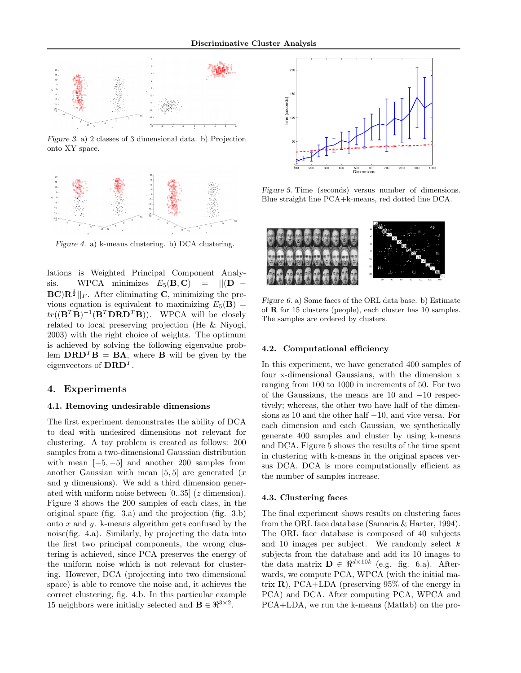

Figure 3. a) 2 classes of 3 dimensional data. b) Projection onto XY space.



Figure 4. a) k-means clustering. b) DCA clustering.

lations is Weighted Principal Component Analysis. WPCA minimizes  $E_5(\mathbf{B}, \mathbf{C}) = ||(\mathbf{D} \mathbf{BC}$  $\mathbf{R}^{\frac{1}{2}}||_F$ . After eliminating C, minimizing the previous equation is equivalent to maximizing  $E_5(\mathbf{B}) =$  $tr((\mathbf{B}^T \mathbf{B})^{-1} (\mathbf{B}^T \mathbf{D} \mathbf{R} \mathbf{D}^T \mathbf{B}))$ . WPCA will be closely related to local preserving projection (He & Niyogi, 2003) with the right choice of weights. The optimum is achieved by solving the following eigenvalue problem  $\mathbf{DRD}^T\mathbf{B} = \mathbf{B}\Lambda$ , where **B** will be given by the eigenvectors of  $\text{DRD}^T$ .

## 4. Experiments

## 4.1. Removing undesirable dimensions

The first experiment demonstrates the ability of DCA to deal with undesired dimensions not relevant for clustering. A toy problem is created as follows: 200 samples from a two-dimensional Gaussian distribution with mean  $[-5, -5]$  and another 200 samples from another Gaussian with mean  $[5, 5]$  are generated  $(x$ and  $y$  dimensions). We add a third dimension generated with uniform noise between [0..35] (z dimension). Figure 3 shows the 200 samples of each class, in the original space (fig. 3.a) and the projection (fig. 3.b) onto  $x$  and  $y$ . k-means algorithm gets confused by the noise(fig. 4.a). Similarly, by projecting the data into the first two principal components, the wrong clustering is achieved, since PCA preserves the energy of the uniform noise which is not relevant for clustering. However, DCA (projecting into two dimensional space) is able to remove the noise and, it achieves the correct clustering, fig. 4.b. In this particular example 15 neighbors were initially selected and  $\mathbf{B} \in \mathbb{R}^{3 \times 2}$ .



Figure 5. Time (seconds) versus number of dimensions. Blue straight line PCA+k-means, red dotted line DCA.



Figure 6. a) Some faces of the ORL data base. b) Estimate of R for 15 clusters (people), each cluster has 10 samples. The samples are ordered by clusters.

### 4.2. Computational efficiency

In this experiment, we have generated 400 samples of four x-dimensional Gaussians, with the dimension x ranging from 100 to 1000 in increments of 50. For two of the Gaussians, the means are 10 and −10 respectively; whereas, the other two have half of the dimensions as 10 and the other half −10, and vice versa. For each dimension and each Gaussian, we synthetically generate 400 samples and cluster by using k-means and DCA. Figure 5 shows the results of the time spent in clustering with k-means in the original spaces versus DCA. DCA is more computationally efficient as the number of samples increase.

#### 4.3. Clustering faces

The final experiment shows results on clustering faces from the ORL face database (Samaria & Harter, 1994). The ORL face database is composed of 40 subjects and 10 images per subject. We randomly select  $k$ subjects from the database and add its 10 images to the data matrix  $\mathbf{D} \in \mathbb{R}^{d \times 10k}$  (e.g. fig. 6.a). Afterwards, we compute PCA, WPCA (with the initial matrix  $\bf{R}$ ), PCA+LDA (preserving 95% of the energy in PCA) and DCA. After computing PCA, WPCA and PCA+LDA, we run the k-means (Matlab) on the pro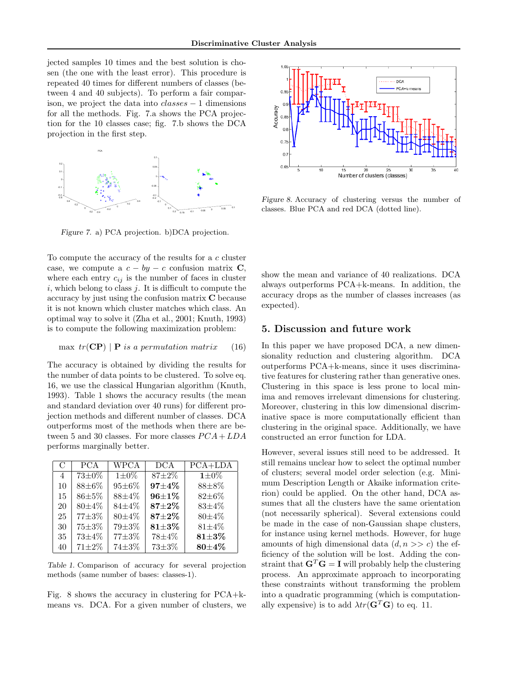jected samples 10 times and the best solution is chosen (the one with the least error). This procedure is repeated 40 times for different numbers of classes (between 4 and 40 subjects). To perform a fair comparison, we project the data into  $classes - 1$  dimensions for all the methods. Fig. 7.a shows the PCA projection for the 10 classes case; fig. 7.b shows the DCA projection in the first step.



Figure 7. a) PCA projection. b)DCA projection.

To compute the accuracy of the results for a c cluster case, we compute a  $c - by - c$  confusion matrix C, where each entry  $c_{ij}$  is the number of faces in cluster  $i$ , which belong to class  $j$ . It is difficult to compute the accuracy by just using the confusion matrix C because it is not known which cluster matches which class. An optimal way to solve it (Zha et al., 2001; Knuth, 1993) is to compute the following maximization problem:

$$
\max \ tr(\mathbf{CP}) \mid \mathbf{P} \text{ is a permutation matrix} \quad (16)
$$

The accuracy is obtained by dividing the results for the number of data points to be clustered. To solve eq. 16, we use the classical Hungarian algorithm (Knuth, 1993). Table 1 shows the accuracy results (the mean and standard deviation over 40 runs) for different projection methods and different number of classes. DCA outperforms most of the methods when there are between 5 and 30 classes. For more classes  $PCA + LDA$ performs marginally better.

| $\mathbf C$ | <b>PCA</b>   | WPCA        | <b>DCA</b>   | $\overline{P}CA+LDA$ |
|-------------|--------------|-------------|--------------|----------------------|
| 4           | $73 \pm 0\%$ | $1 \pm 0\%$ | $87 + 2\%$   | $1\pm0\%$            |
| 10          | $88\pm6\%$   | 95±6%       | 97±4%        | $88 + 8\%$           |
| 15          | $86 + 5\%$   | $88 + 4\%$  | $96 + 1\%$   | 82±6%                |
| 20          | $80 + 4\%$   | $84\pm4\%$  | $87 + 2\%$   | $83 + 4\%$           |
| 25          | 77±3%        | $80 + 4\%$  | $87 + 2\%$   | $80 \pm 4\%$         |
| 30          | 75±3%        | 79±3%       | $81\pm3\%$   | $81 \pm 4\%$         |
| 35          | 73±4%        | 77±3%       | 78±4%        | $81\pm3\%$           |
| 40          | $71 + 2\%$   | 74±3%       | $73 \pm 3\%$ | $80\pm4\%$           |

Table 1. Comparison of accuracy for several projection methods (same number of bases: classes-1).

Fig. 8 shows the accuracy in clustering for PCA+kmeans vs. DCA. For a given number of clusters, we



Figure 8. Accuracy of clustering versus the number of classes. Blue PCA and red DCA (dotted line).

show the mean and variance of 40 realizations. DCA always outperforms PCA+k-means. In addition, the accuracy drops as the number of classes increases (as expected).

## 5. Discussion and future work

In this paper we have proposed DCA, a new dimensionality reduction and clustering algorithm. DCA outperforms PCA+k-means, since it uses discriminative features for clustering rather than generative ones. Clustering in this space is less prone to local minima and removes irrelevant dimensions for clustering. Moreover, clustering in this low dimensional discriminative space is more computationally efficient than clustering in the original space. Additionally, we have constructed an error function for LDA.

However, several issues still need to be addressed. It still remains unclear how to select the optimal number of clusters; several model order selection (e.g. Minimum Description Length or Akaike information criterion) could be applied. On the other hand, DCA assumes that all the clusters have the same orientation (not necessarily spherical). Several extensions could be made in the case of non-Gaussian shape clusters, for instance using kernel methods. However, for huge amounts of high dimensional data  $(d, n \gg c)$  the efficiency of the solution will be lost. Adding the constraint that  $\mathbf{G}^T\mathbf{G} = \mathbf{I}$  will probably help the clustering process. An approximate approach to incorporating these constraints without transforming the problem into a quadratic programming (which is computationally expensive) is to add  $\lambda tr(\mathbf{G}^T \mathbf{G})$  to eq. 11.